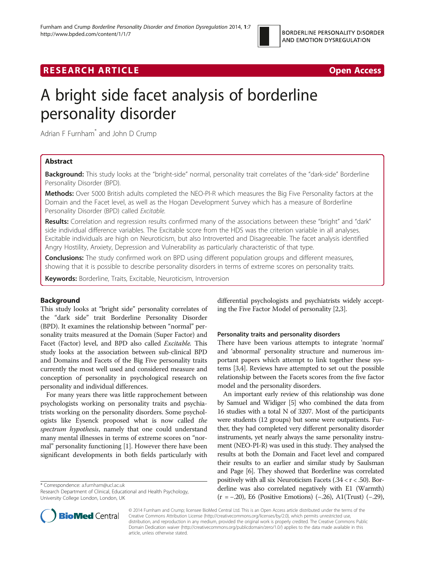# **RESEARCH ARTICLE Example 2018 12:00 Department 2018 12:00 Department 2018 12:00 Department 2018 12:00 Department 2018 12:00 Department 2018 12:00 Department 2018 12:00 Department 2018 12:00 Department 2018 12:00 Departm**

# A bright side facet analysis of borderline personality disorder

Adrian F Furnham\* and John D Crump

# Abstract

**Background:** This study looks at the "bright-side" normal, personality trait correlates of the "dark-side" Borderline Personality Disorder (BPD).

Methods: Over 5000 British adults completed the NEO-PI-R which measures the Big Five Personality factors at the Domain and the Facet level, as well as the Hogan Development Survey which has a measure of Borderline Personality Disorder (BPD) called Excitable.

Results: Correlation and regression results confirmed many of the associations between these "bright" and "dark" side individual difference variables. The Excitable score from the HDS was the criterion variable in all analyses. Excitable individuals are high on Neuroticism, but also Introverted and Disagreeable. The facet analysis identified Angry Hostility, Anxiety, Depression and Vulnerability as particularly characteristic of that type.

**Conclusions:** The study confirmed work on BPD using different population groups and different measures, showing that it is possible to describe personality disorders in terms of extreme scores on personality traits.

Keywords: Borderline, Traits, Excitable, Neuroticism, Introversion

# Background

This study looks at "bright side" personality correlates of the "dark side" trait Borderline Personality Disorder (BPD). It examines the relationship between "normal" personality traits measured at the Domain (Super Factor) and Facet (Factor) level, and BPD also called Excitable. This study looks at the association between sub-clinical BPD and Domains and Facets of the Big Five personality traits currently the most well used and considered measure and conception of personality in psychological research on personality and individual differences.

For many years there was little rapprochement between psychologists working on personality traits and psychiatrists working on the personality disorders. Some psychologists like Eysenck proposed what is now called the spectrum hypothesis, namely that one could understand many mental illnesses in terms of extreme scores on "normal" personality functioning [\[1\]](#page-4-0). However there have been significant developments in both fields particularly with

\* Correspondence: [a.furnham@ucl.ac.uk](mailto:a.furnham@ucl.ac.uk)

Research Department of Clinical, Educational and Health Psychology, University College London, London, UK

differential psychologists and psychiatrists widely accepting the Five Factor Model of personality [[2,3](#page-4-0)].

#### Personality traits and personality disorders

There have been various attempts to integrate 'normal' and 'abnormal' personality structure and numerous important papers which attempt to link together these systems [\[3,4\]](#page-4-0). Reviews have attempted to set out the possible relationship between the Facets scores from the five factor model and the personality disorders.

An important early review of this relationship was done by Samuel and Widiger [[5](#page-4-0)] who combined the data from 16 studies with a total N of 3207. Most of the participants were students (12 groups) but some were outpatients. Further, they had completed very different personality disorder instruments, yet nearly always the same personality instrument (NEO-PI-R) was used in this study. They analysed the results at both the Domain and Facet level and compared their results to an earlier and similar study by Saulsman and Page [[6](#page-4-0)]. They showed that Borderline was correlated positively with all six Neuroticism Facets  $(.34 < r < .50)$ . Borderline was also correlated negatively with E1 (Warmth) (r = −.20), E6 (Positive Emotions) (−.26), A1(Trust) (−.29),



© 2014 Furnham and Crump; licensee BioMed Central Ltd. This is an Open Access article distributed under the terms of the Creative Commons Attribution License (<http://creativecommons.org/licenses/by/2.0>), which permits unrestricted use, distribution, and reproduction in any medium, provided the original work is properly credited. The Creative Commons Public Domain Dedication waiver [\(http://creativecommons.org/publicdomain/zero/1.0/\)](http://creativecommons.org/publicdomain/zero/1.0/) applies to the data made available in this article, unless otherwise stated.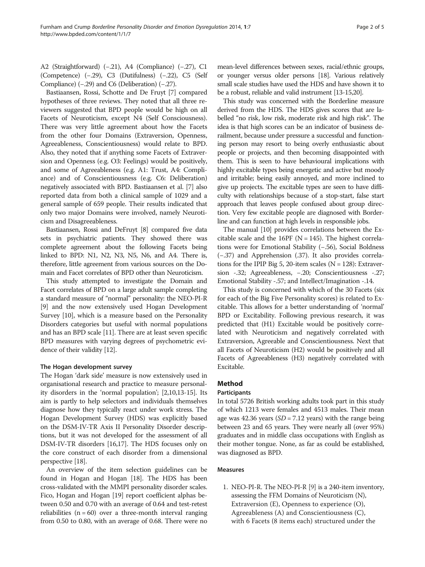A2 (Straightforward) (−.21), A4 (Compliance) (−.27), C1 (Competence) (−.29), C3 (Dutifulness) (−.22), C5 (Self Compliance) (−.29) and C6 (Deliberation) (−.27).

Bastiaansen, Rossi, Schotte and De Fruyt [\[7\]](#page-4-0) compared hypotheses of three reviews. They noted that all three reviewers suggested that BPD people would be high on all Facets of Neuroticism, except N4 (Self Consciousness). There was very little agreement about how the Facets from the other four Domains (Extraversion, Openness, Agreeableness, Conscientiousness) would relate to BPD. Also, they noted that if anything some Facets of Extraversion and Openness (e.g. O3: Feelings) would be positively, and some of Agreeableness (e.g. A1: Trust, A4: Compliance) and of Conscientiousness (e.g. C6: Deliberation) negatively associated with BPD. Bastiaansen et al. [[7\]](#page-4-0) also reported data from both a clinical sample of 1029 and a general sample of 659 people. Their results indicated that only two major Domains were involved, namely Neuroticism and Disagreeableness.

Bastiaansen, Rossi and DeFruyt [\[8\]](#page-4-0) compared five data sets in psychiatric patients. They showed there was complete agreement about the following Facets being linked to BPD: N1, N2, N3, N5, N6, and A4. There is, therefore, little agreement from various sources on the Domain and Facet correlates of BPD other than Neuroticism.

This study attempted to investigate the Domain and Facet correlates of BPD on a large adult sample completing a standard measure of "normal" personality: the NEO-PI-R [[9\]](#page-4-0) and the now extensively used Hogan Development Survey [\[10\]](#page-4-0), which is a measure based on the Personality Disorders categories but useful with normal populations and has an BPD scale [\[11](#page-4-0)]. There are at least seven specific BPD measures with varying degrees of psychometric evidence of their validity [\[12\]](#page-4-0).

#### The Hogan development survey

The Hogan 'dark side' measure is now extensively used in organisational research and practice to measure personality disorders in the 'normal population'; [[2,10,13-15](#page-4-0)]. Its aim is partly to help selectors and individuals themselves diagnose how they typically react under work stress. The Hogan Development Survey (HDS) was explicitly based on the DSM-IV-TR Axis II Personality Disorder descriptions, but it was not developed for the assessment of all DSM-IV-TR disorders [\[16,17\]](#page-4-0). The HDS focuses only on the core construct of each disorder from a dimensional perspective [\[18\]](#page-4-0).

An overview of the item selection guidelines can be found in Hogan and Hogan [\[18\]](#page-4-0). The HDS has been cross-validated with the MMPI personality disorder scales. Fico, Hogan and Hogan [\[19](#page-4-0)] report coefficient alphas between 0.50 and 0.70 with an average of 0.64 and test-retest reliabilities  $(n = 60)$  over a three-month interval ranging from 0.50 to 0.80, with an average of 0.68. There were no

mean-level differences between sexes, racial/ethnic groups, or younger versus older persons [\[18](#page-4-0)]. Various relatively small scale studies have used the HDS and have shown it to be a robust, reliable and valid instrument [[13](#page-4-0)-[15,20](#page-4-0)].

This study was concerned with the Borderline measure derived from the HDS. The HDS gives scores that are labelled "no risk, low risk, moderate risk and high risk". The idea is that high scores can be an indicator of business derailment, because under pressure a successful and functioning person may resort to being overly enthusiastic about people or projects, and then becoming disappointed with them. This is seen to have behavioural implications with highly excitable types being energetic and active but moody and irritable; being easily annoyed, and more inclined to give up projects. The excitable types are seen to have difficulty with relationships because of a stop-start, false start approach that leaves people confused about group direction. Very few excitable people are diagnosed with Borderline and can function at high levels in responsible jobs.

The manual [\[10\]](#page-4-0) provides correlations between the Excitable scale and the 16PF ( $N = 145$ ). The highest correlations were for Emotional Stability (−.56), Social Boldness (−.37) and Apprehension (.37). It also provides correlations for the IPIP Big 5, 20-item scales ( $N = 128$ ): Extraversion -.32; Agreeableness, −.20; Conscientiousness -.27; Emotional Stability -.57; and Intellect/Imagination -.14.

This study is concerned with which of the 30 Facets (six for each of the Big Five Personality scores) is related to Excitable. This allows for a better understanding of 'normal' BPD or Excitability. Following previous research, it was predicted that (H1) Excitable would be positively correlated with Neuroticism and negatively correlated with Extraversion, Agreeable and Conscientiousness. Next that all Facets of Neuroticism (H2) would be positively and all Facets of Agreeableness (H3) negatively correlated with Excitable.

# Method

# Participants

In total 5726 British working adults took part in this study of which 1213 were females and 4513 males. Their mean age was 42.36 years ( $SD = 7.12$  years) with the range being between 23 and 65 years. They were nearly all (over 95%) graduates and in middle class occupations with English as their mother tongue. None, as far as could be established, was diagnosed as BPD.

# Measures

1. NEO-PI-R. The NEO-PI-R [[9](#page-4-0)] is a 240-item inventory, assessing the FFM Domains of Neuroticism (N), Extraversion (E), Openness to experience (O), Agreeableness (A) and Conscientiousness (C), with 6 Facets (8 items each) structured under the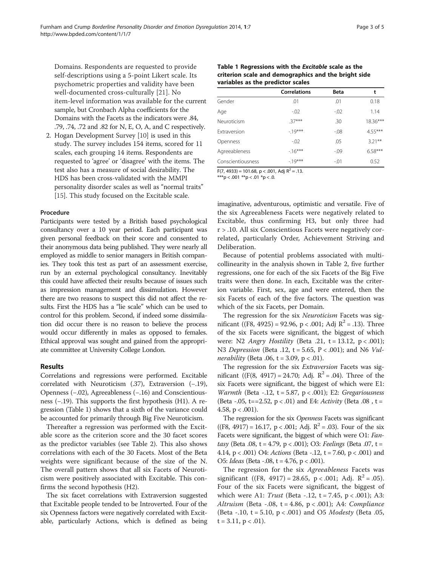Domains. Respondents are requested to provide self-descriptions using a 5-point Likert scale. Its psychometric properties and validity have been well-documented cross-culturally [\[21](#page-4-0)]. No item-level information was available for the current sample, but Cronbach Alpha coefficients for the Domains with the Facets as the indicators were .84, .79, .74, .72 and .82 for N, E, O, A, and C respectively.

2. Hogan Development Survey [[10\]](#page-4-0) is used in this study. The survey includes 154 items, scored for 11 scales, each grouping 14 items. Respondents are requested to 'agree' or 'disagree' with the items. The test also has a measure of social desirability. The HDS has been cross-validated with the MMPI personality disorder scales as well as "normal traits" [\[15](#page-4-0)]. This study focused on the Excitable scale.

#### Procedure

Participants were tested by a British based psychological consultancy over a 10 year period. Each participant was given personal feedback on their score and consented to their anonymous data being published. They were nearly all employed as middle to senior managers in British companies. They took this test as part of an assessment exercise, run by an external psychological consultancy. Inevitably this could have affected their results because of issues such as impression management and dissimulation. However there are two reasons to suspect this did not affect the results. First the HDS has a "lie scale" which can be used to control for this problem. Second, if indeed some dissimilation did occur there is no reason to believe the process would occur differently in males as opposed to females. Ethical approval was sought and gained from the appropriate committee at University College London.

#### Results

Correlations and regressions were performed. Excitable correlated with Neuroticism (.37), Extraversion (−.19), Openness (−.02), Agreeableness (−.16) and Conscientiousness (−.19). This supports the first hypothesis (H1). A regression (Table 1) shows that a sixth of the variance could be accounted for primarily through Big Five Neuroticism.

Thereafter a regression was performed with the Excitable score as the criterion score and the 30 facet scores as the predictor variables (see Table [2](#page-3-0)). This also shows correlations with each of the 30 Facets. Most of the Beta weights were significant because of the size of the N. The overall pattern shows that all six Facets of Neuroticism were positively associated with Excitable. This confirms the second hypothesis (H2).

The six facet correlations with Extraversion suggested that Excitable people tended to be Introverted. Four of the six Openness factors were negatively correlated with Excitable, particularly Actions, which is defined as being

| Table 1 Regressions with the <i>Excitable</i> scale as the |  |  |  |  |
|------------------------------------------------------------|--|--|--|--|
| criterion scale and demographics and the bright side       |  |  |  |  |
| variables as the predictor scales                          |  |  |  |  |

|                   | <b>Correlations</b> | <b>Beta</b> | t         |
|-------------------|---------------------|-------------|-----------|
| Gender            | .01                 | .01         | 0.18      |
| Age               | $-0.02$             | $-0.02$     | 1.14      |
| Neuroticism       | $37***$             | .30         | 18.36***  |
| Extraversion      | $-19***$            | $-0.08$     | $4.55***$ |
| Openness          | $-02$               | .05         | $3.21***$ |
| Agreeableness     | $-16***$            | $-0.09$     | $6.58***$ |
| Conscientiousness | $-19***$            | $-.01$      | 0.52      |

F(7, 4933) = 101.68, p < .001, Adj  $R^2$  = .13.

\*\*\*p < .001 \*\*p < .01 \*p < .0.

imaginative, adventurous, optimistic and versatile. Five of the six Agreeableness Facets were negatively related to Excitable, thus confirming H3, but only three had r > .10. All six Conscientious Facets were negatively correlated, particularly Order, Achievement Striving and Deliberation.

Because of potential problems associated with multicollinearity in the analysis shown in Table [2,](#page-3-0) five further regressions, one for each of the six Facets of the Big Five traits were then done. In each, Excitable was the criterion variable. First, sex, age and were entered, then the six Facets of each of the five factors. The question was which of the six Facets, per Domain.

The regression for the six *Neuroticism* Facets was significant ((F8, 4925) = 92.96, p < .001; Adj  $R^2$  = .13). Three of the six Facets were significant, the biggest of which were: N2 Angry Hostility (Beta .21,  $t = 13.12$ ,  $p < .001$ ); N3 *Depression* (Beta .12, t = 5.65, P < .001); and N6 *Vulnerability* (Beta .06,  $t = 3.09$ ,  $p < .01$ ).

The regression for the six Extraversion Facets was significant ((F(8, 4917) = 24.70; Adj.  $R^2$  = .04). Three of the six Facets were significant, the biggest of which were E1: Warmth (Beta -.12,  $t = 5.87$ ,  $p < .001$ ); E2: Gregariousness (Beta -.05, t==2.52,  $p < .01$ ) and E4: Activity (Beta .08, t = 4.58,  $p < .001$ ).

The regression for the six Openness Facets was significant  $((F8, 4917) = 16.17, p < .001;$  Adj.  $R^2 = .03$ ). Four of the six Facets were significant, the biggest of which were O1: Fantasy (Beta .08, t = 4.79, p < .001); O3: Feelings (Beta .07, t = 4.14,  $p < .001$ ) O4: *Actions* (Beta -.12,  $t = 7.60$ ,  $p < .001$ ) and O5: Ideas (Beta -.08, t = 4.76, p < .001).

The regression for the six *Agreeableness* Facets was significant ((F8, 4917) = 28.65, p < .001; Adj.  $R^2$  = .05). Four of the six Facets were significant, the biggest of which were A1: *Trust* (Beta -.12,  $t = 7.45$ ,  $p < .001$ ); A3: Altruism (Beta -.08,  $t = 4.86$ ,  $p < .001$ ); A4: *Compliance* (Beta -.10,  $t = 5.10$ ,  $p < .001$ ) and O5 *Modesty* (Beta .05,  $t = 3.11, p < .01$ ).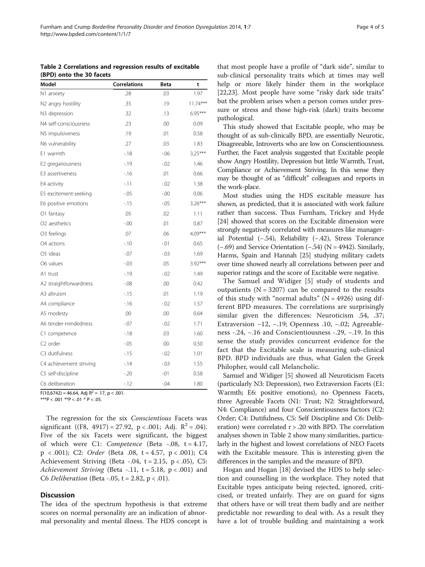| Model                   | <b>Correlations</b> | <b>Beta</b> | t          |
|-------------------------|---------------------|-------------|------------|
| N1 anxiety              | .28                 | .03         | 1.97       |
| N2 angry hostility      | .35                 | .19         | $11.74***$ |
| N3 depression           | .32                 | .13         | $6.95***$  |
| N4 self-consciousness   | .23                 | .00         | 0.09       |
| N5 impulsiveness        | .19                 | .01         | 0.58       |
| N6 vulnerability        | .27                 | .03         | 1.83       |
| E1 warmth               | $-18$               | $-06$       | $3.25***$  |
| E2 gregariousness       | $-19$               | $-0.02$     | 1.46       |
| E3 assertiveness        | $-16$               | .01         | 0.66       |
| E4 activity             | $-11$               | $-0.02$     | 1.38       |
| E5 excitement-seeking   | $-0.05$             | $-0.00$     | 0.06       |
| E6 positive emotions    | $-15$               | $-.05$      | $3.26***$  |
| O1 fantasy              | .05                 | .02         | 1.11       |
| O2 aesthetics           | $-0.00$             | .01         | 0.87       |
| O <sub>3</sub> feelings | .07                 | .06         | $4.09***$  |
| O4 actions              | $-10$               | $-.01$      | 0.65       |
| O5 ideas                | $-0.07$             | $-0.03$     | 1.69       |
| O6 values               | $-0.03$             | .05         | $3.92***$  |
| A1 trust                | $-19$               | $-0.02$     | 1.49       |
| A2 straightforwardness  | $-0.08$             | .00         | 0.42       |
| A3 altruism             | $-15$               | .01         | 1.19       |
| A4 compliance           | -.16                | $-0.02$     | 1.57       |
| A5 modesty              | .00                 | .00         | 0.64       |
| A6 tender-mindedness    | $-0.07$             | $-0.02$     | 1.71       |
| C1 competence           | $-18$               | .03         | 1.60       |
| C <sub>2</sub> order    | -.05                | .00         | 0.50       |
| C3 dutifulness          | $-15$               | $-0.02$     | 1.01       |
| C4 achievement striving | $-14$               | $-0.03$     | 1.55       |
| C5 self-discipline      | $-20$               | $-01$       | 0.58       |
| C6 deliberation         | -.12                | $-0.04$     | 1.80       |

<span id="page-3-0"></span>Table 2 Correlations and regression results of excitable (BPD) onto the 30 facets

 $F(10,6742) = 46.64$ , Adj  $R^2 = .17$ , p < .001.

\*\*\*P < .001 \*\*P < .01 \* P < .05.

The regression for the six Conscientious Facets was significant ((F8, 4917) = 27.92, p < .001; Adj.  $R^2 = .04$ ). Five of the six Facets were significant, the biggest of which were C1: *Competence* (Beta  $-.08$ ,  $t = 4.17$ ,  $p \text{ } < .001$ ); C2: Order (Beta .08, t = 4.57,  $p \text{ } < .001$ ); C4 Achievement Striving (Beta -.04,  $t = 2.15$ ,  $p < .05$ ), C5: Achievement Striving (Beta -.11,  $t = 5.18$ ,  $p < .001$ ) and C6 Deliberation (Beta -.05, t = 2.82, p < .01).

#### **Discussion**

The idea of the spectrum hypothesis is that extreme scores on normal personality are an indication of abnormal personality and mental illness. The HDS concept is

that most people have a profile of "dark side", similar to sub-clinical personality traits which at times may well help or more likely hinder them in the workplace [[22,23\]](#page-4-0). Most people have some "risky dark side traits" but the problem arises when a person comes under pressure or stress and those high-risk (dark) traits become pathological.

This study showed that Excitable people, who may be thought of as sub-clinically BPD, are essentially Neurotic, Disagreeable, Introverts who are low on Conscientiousness. Further, the Facet analysis suggested that Excitable people show Angry Hostility, Depression but little Warmth, Trust, Compliance or Achievement Striving. In this sense they may be thought of as "difficult" colleagues and reports in the work-place.

Most studies using the HDS excitable measure has shown, as predicted, that it is associated with work failure rather than success. Thus Furnham, Trickey and Hyde [[24](#page-4-0)] showed that scores on the Excitable dimension were strongly negatively correlated with measures like managerial Potential (−.54), Reliability (−.42), Stress Tolerance (−.69) and Service Orientation (−.54) (N = 4942). Similarly, Harms, Spain and Hannah [\[25\]](#page-4-0) studying military cadets over time showed nearly all correlations between peer and superior ratings and the score of Excitable were negative.

The Samuel and Widiger [[5\]](#page-4-0) study of students and outpatients ( $N = 3207$ ) can be compared to the results of this study with "normal adults" ( $N = 4926$ ) using different BPD measures. The correlations are surprisingly similar given the differences: Neuroticism .54, .37; Extraversion −12, −.19; Openness .10, −.02; Agreeableness -.24, −.16 and Conscientiousness -.29, −.19. In this sense the study provides concurrent evidence for the fact that the Excitable scale is measuring sub-clinical BPD. BPD individuals are thus, what Galen the Greek Philopher, would call Melancholic.

Samuel and Widiger [[5\]](#page-4-0) showed all Neuroticism Facets (particularly N3: Depression), two Extraversion Facets (E1: Warmth; E6: positive emotions), no Openness Facets, three Agreeable Facets (N1: Trust; N2: Straightforward, N4: Compliance) and four Conscientiousness factors (C2: Order; C4: Dutifulness, C5: Self Discipline and C6: Deliberation) were correlated r > .20 with BPD. The correlation analyses shown in Table 2 show many similarities, particularly in the highest and lowest correlations of NEO Facets with the Excitable measure. This is interesting given the differences in the samples and the measure of BPD.

Hogan and Hogan [[18\]](#page-4-0) devised the HDS to help selection and counselling in the workplace. They noted that Excitable types anticipate being rejected, ignored, criticised, or treated unfairly. They are on guard for signs that others have or will treat them badly and are neither predictable nor rewarding to deal with. As a result they have a lot of trouble building and maintaining a work